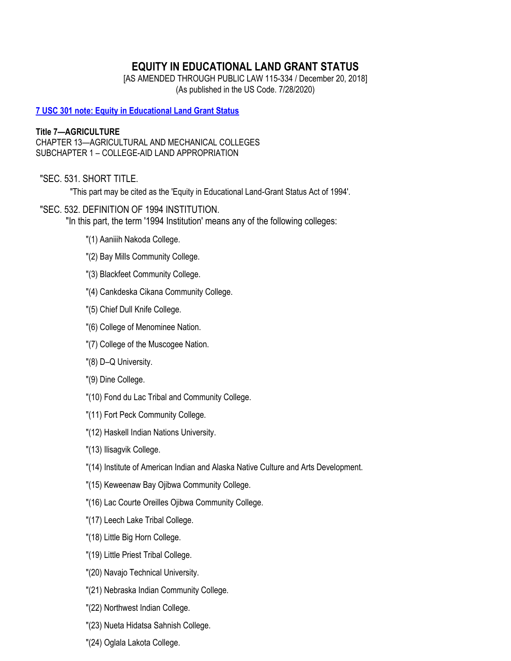# **EQUITY IN EDUCATIONAL LAND GRANT STATUS**

[AS AMENDED THROUGH PUBLIC LAW 115-334 / December 20, 2018] (As published in the US Code. 7/28/2020)

**[7 USC 301 note: Equity in Educational Land Grant Status](https://uscode.house.gov/view.xhtml?path=/prelim@title7/chapter13/subchapter1&edition=prelim)**

## **Title 7—AGRICULTURE**

CHAPTER 13—AGRICULTURAL AND MECHANICAL COLLEGES SUBCHAPTER 1 – COLLEGE-AID LAND APPROPRIATION

### "SEC. 531. SHORT TITLE.

"This part may be cited as the 'Equity in Educational Land-Grant Status Act of 1994'.

### "SEC. 532. DEFINITION OF 1994 INSTITUTION.

"In this part, the term '1994 Institution' means any of the following colleges:

- "(1) Aaniiih Nakoda College.
- "(2) Bay Mills Community College.
- "(3) Blackfeet Community College.
- "(4) Cankdeska Cikana Community College.
- "(5) Chief Dull Knife College.
- "(6) College of Menominee Nation.
- "(7) College of the Muscogee Nation.
- "(8) D–Q University.
- "(9) Dine College.
- "(10) Fond du Lac Tribal and Community College.
- "(11) Fort Peck Community College.
- "(12) Haskell Indian Nations University.
- "(13) Ilisagvik College.
- "(14) Institute of American Indian and Alaska Native Culture and Arts Development.
- "(15) Keweenaw Bay Ojibwa Community College.
- "(16) Lac Courte Oreilles Ojibwa Community College.
- "(17) Leech Lake Tribal College.
- "(18) Little Big Horn College.
- "(19) Little Priest Tribal College.
- "(20) Navajo Technical University.
- "(21) Nebraska Indian Community College.
- "(22) Northwest Indian College.
- "(23) Nueta Hidatsa Sahnish College.
- "(24) Oglala Lakota College.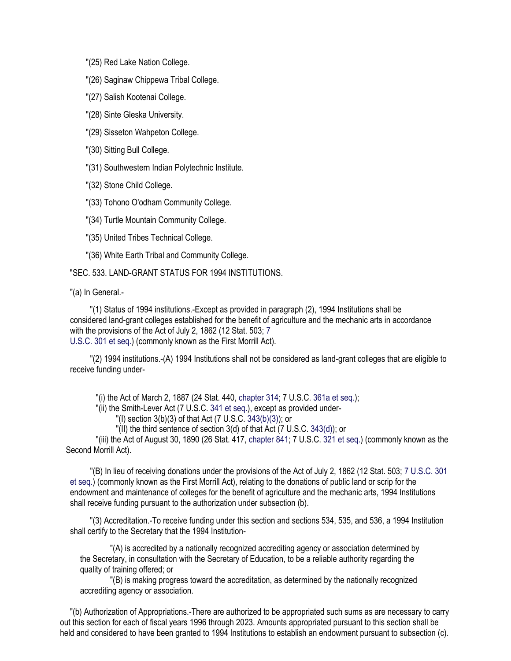"(25) Red Lake Nation College.

"(26) Saginaw Chippewa Tribal College.

"(27) Salish Kootenai College.

"(28) Sinte Gleska University.

"(29) Sisseton Wahpeton College.

"(30) Sitting Bull College.

"(31) Southwestern Indian Polytechnic Institute.

"(32) Stone Child College.

"(33) Tohono O'odham Community College.

"(34) Turtle Mountain Community College.

"(35) United Tribes Technical College.

"(36) White Earth Tribal and Community College.

"SEC. 533. LAND-GRANT STATUS FOR 1994 INSTITUTIONS.

"(a) In General.-

"(1) Status of 1994 institutions.-Except as provided in paragraph (2), 1994 Institutions shall be considered land-grant colleges established for the benefit of agriculture and the mechanic arts in accordance with the provisions of the Act of July 2, 1862 (12 Stat. 503; 7 U.S.C. 301 et seq.) (commonly known as the First Morrill Act).

"(2) 1994 institutions.-(A) 1994 Institutions shall not be considered as land-grant colleges that are eligible to receive funding under-

"(i) the Act of March 2, 1887 (24 Stat. 440, chapter 314; 7 U.S.C. 361a et seq.);

"(ii) the Smith-Lever Act (7 U.S.C. 341 et seq.), except as provided under-

"(I) section 3(b)(3) of that Act (7 U.S.C. 343(b)(3)); or

"(II) the third sentence of section 3(d) of that Act (7 U.S.C. 343(d)); or

"(iii) the Act of August 30, 1890 (26 Stat. 417, chapter 841; 7 U.S.C. 321 et seq.) (commonly known as the Second Morrill Act).

"(B) In lieu of receiving donations under the provisions of the Act of July 2, 1862 (12 Stat. 503; 7 U.S.C. 301 et seq.) (commonly known as the First Morrill Act), relating to the donations of public land or scrip for the endowment and maintenance of colleges for the benefit of agriculture and the mechanic arts, 1994 Institutions shall receive funding pursuant to the authorization under subsection (b).

"(3) Accreditation.-To receive funding under this section and sections 534, 535, and 536, a 1994 Institution shall certify to the Secretary that the 1994 Institution-

"(A) is accredited by a nationally recognized accrediting agency or association determined by the Secretary, in consultation with the Secretary of Education, to be a reliable authority regarding the quality of training offered; or

"(B) is making progress toward the accreditation, as determined by the nationally recognized accrediting agency or association.

"(b) Authorization of Appropriations.-There are authorized to be appropriated such sums as are necessary to carry out this section for each of fiscal years 1996 through 2023. Amounts appropriated pursuant to this section shall be held and considered to have been granted to 1994 Institutions to establish an endowment pursuant to subsection (c).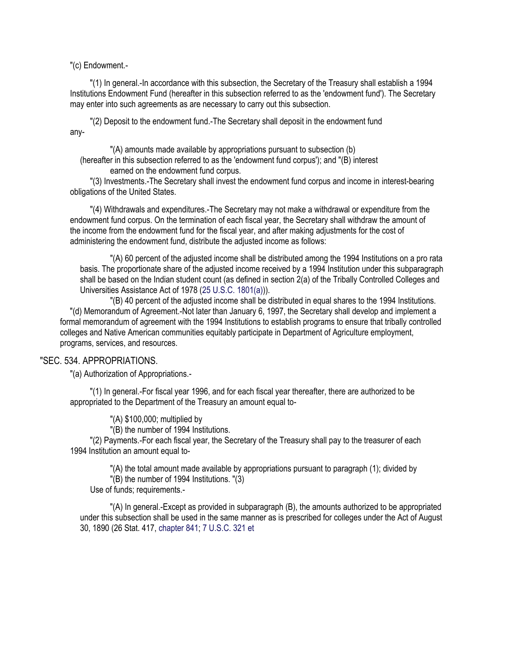"(c) Endowment.-

"(1) In general.-In accordance with this subsection, the Secretary of the Treasury shall establish a 1994 Institutions Endowment Fund (hereafter in this subsection referred to as the 'endowment fund'). The Secretary may enter into such agreements as are necessary to carry out this subsection.

"(2) Deposit to the endowment fund.-The Secretary shall deposit in the endowment fund any-

"(A) amounts made available by appropriations pursuant to subsection (b) (hereafter in this subsection referred to as the 'endowment fund corpus'); and "(B) interest earned on the endowment fund corpus.

"(3) Investments.-The Secretary shall invest the endowment fund corpus and income in interest-bearing obligations of the United States.

"(4) Withdrawals and expenditures.-The Secretary may not make a withdrawal or expenditure from the endowment fund corpus. On the termination of each fiscal year, the Secretary shall withdraw the amount of the income from the endowment fund for the fiscal year, and after making adjustments for the cost of administering the endowment fund, distribute the adjusted income as follows:

"(A) 60 percent of the adjusted income shall be distributed among the 1994 Institutions on a pro rata basis. The proportionate share of the adjusted income received by a 1994 Institution under this subparagraph shall be based on the Indian student count (as defined in section 2(a) of the Tribally Controlled Colleges and Universities Assistance Act of 1978 (25 U.S.C. 1801(a))).

"(B) 40 percent of the adjusted income shall be distributed in equal shares to the 1994 Institutions. "(d) Memorandum of Agreement.-Not later than January 6, 1997, the Secretary shall develop and implement a formal memorandum of agreement with the 1994 Institutions to establish programs to ensure that tribally controlled colleges and Native American communities equitably participate in Department of Agriculture employment, programs, services, and resources.

#### "SEC. 534. APPROPRIATIONS.

"(a) Authorization of Appropriations.-

"(1) In general.-For fiscal year 1996, and for each fiscal year thereafter, there are authorized to be appropriated to the Department of the Treasury an amount equal to-

"(A) \$100,000; multiplied by

"(B) the number of 1994 Institutions.

"(2) Payments.-For each fiscal year, the Secretary of the Treasury shall pay to the treasurer of each 1994 Institution an amount equal to-

"(A) the total amount made available by appropriations pursuant to paragraph (1); divided by "(B) the number of 1994 Institutions. "(3)

Use of funds; requirements.-

"(A) In general.-Except as provided in subparagraph (B), the amounts authorized to be appropriated under this subsection shall be used in the same manner as is prescribed for colleges under the Act of August 30, 1890 (26 Stat. 417, chapter 841; 7 U.S.C. 321 et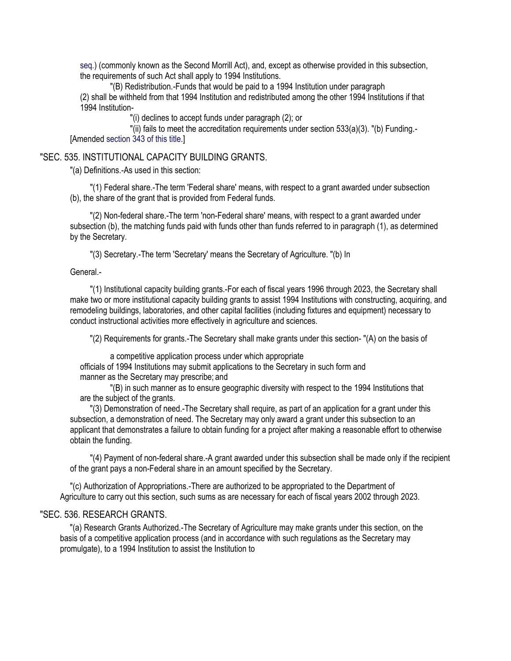seq.) (commonly known as the Second Morrill Act), and, except as otherwise provided in this subsection, the requirements of such Act shall apply to 1994 Institutions.

"(B) Redistribution.-Funds that would be paid to a 1994 Institution under paragraph (2) shall be withheld from that 1994 Institution and redistributed among the other 1994 Institutions if that 1994 Institution-

"(i) declines to accept funds under paragraph (2); or

"(ii) fails to meet the accreditation requirements under section 533(a)(3). "(b) Funding.- [Amended section 343 of this title.]

#### "SEC. 535. INSTITUTIONAL CAPACITY BUILDING GRANTS.

"(a) Definitions.-As used in this section:

"(1) Federal share.-The term 'Federal share' means, with respect to a grant awarded under subsection (b), the share of the grant that is provided from Federal funds.

"(2) Non-federal share.-The term 'non-Federal share' means, with respect to a grant awarded under subsection (b), the matching funds paid with funds other than funds referred to in paragraph (1), as determined by the Secretary.

"(3) Secretary.-The term 'Secretary' means the Secretary of Agriculture. "(b) In

General.-

"(1) Institutional capacity building grants.-For each of fiscal years 1996 through 2023, the Secretary shall make two or more institutional capacity building grants to assist 1994 Institutions with constructing, acquiring, and remodeling buildings, laboratories, and other capital facilities (including fixtures and equipment) necessary to conduct instructional activities more effectively in agriculture and sciences.

"(2) Requirements for grants.-The Secretary shall make grants under this section- "(A) on the basis of

a competitive application process under which appropriate officials of 1994 Institutions may submit applications to the Secretary in such form and

manner as the Secretary may prescribe; and

"(B) in such manner as to ensure geographic diversity with respect to the 1994 Institutions that are the subject of the grants.

"(3) Demonstration of need.-The Secretary shall require, as part of an application for a grant under this subsection, a demonstration of need. The Secretary may only award a grant under this subsection to an applicant that demonstrates a failure to obtain funding for a project after making a reasonable effort to otherwise obtain the funding.

"(4) Payment of non-federal share.-A grant awarded under this subsection shall be made only if the recipient of the grant pays a non-Federal share in an amount specified by the Secretary.

"(c) Authorization of Appropriations.-There are authorized to be appropriated to the Department of Agriculture to carry out this section, such sums as are necessary for each of fiscal years 2002 through 2023.

### "SEC. 536. RESEARCH GRANTS.

"(a) Research Grants Authorized.-The Secretary of Agriculture may make grants under this section, on the basis of a competitive application process (and in accordance with such regulations as the Secretary may promulgate), to a 1994 Institution to assist the Institution to